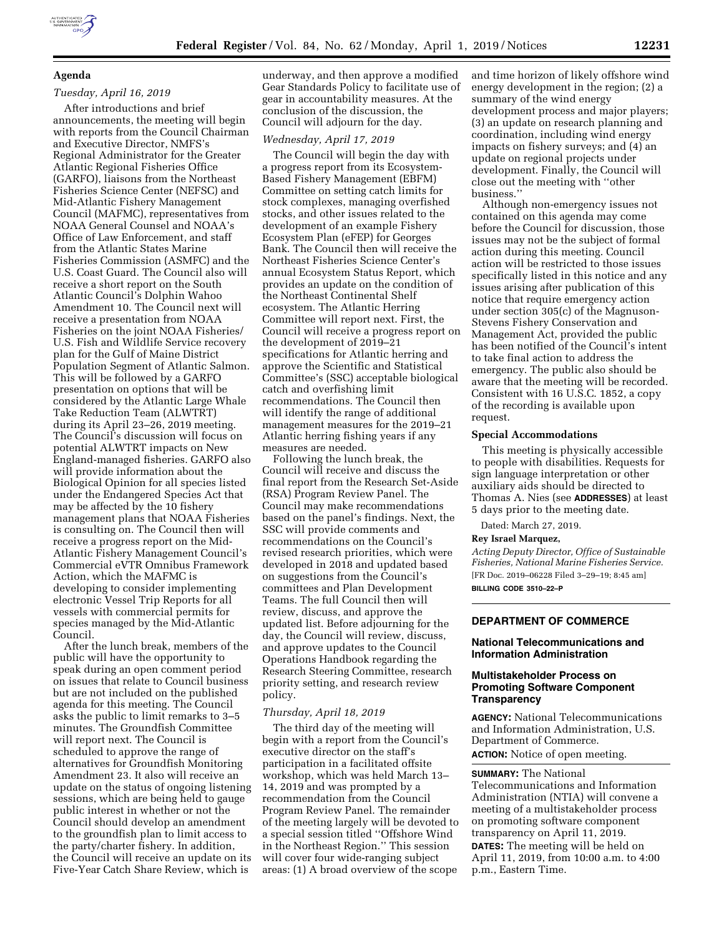# **Agenda**

# *Tuesday, April 16, 2019*

After introductions and brief announcements, the meeting will begin with reports from the Council Chairman and Executive Director, NMFS's Regional Administrator for the Greater Atlantic Regional Fisheries Office (GARFO), liaisons from the Northeast Fisheries Science Center (NEFSC) and Mid-Atlantic Fishery Management Council (MAFMC), representatives from NOAA General Counsel and NOAA's Office of Law Enforcement, and staff from the Atlantic States Marine Fisheries Commission (ASMFC) and the U.S. Coast Guard. The Council also will receive a short report on the South Atlantic Council's Dolphin Wahoo Amendment 10. The Council next will receive a presentation from NOAA Fisheries on the joint NOAA Fisheries/ U.S. Fish and Wildlife Service recovery plan for the Gulf of Maine District Population Segment of Atlantic Salmon. This will be followed by a GARFO presentation on options that will be considered by the Atlantic Large Whale Take Reduction Team (ALWTRT) during its April 23–26, 2019 meeting. The Council's discussion will focus on potential ALWTRT impacts on New England-managed fisheries. GARFO also will provide information about the Biological Opinion for all species listed under the Endangered Species Act that may be affected by the 10 fishery management plans that NOAA Fisheries is consulting on. The Council then will receive a progress report on the Mid-Atlantic Fishery Management Council's Commercial eVTR Omnibus Framework Action, which the MAFMC is developing to consider implementing electronic Vessel Trip Reports for all vessels with commercial permits for species managed by the Mid-Atlantic Council.

After the lunch break, members of the public will have the opportunity to speak during an open comment period on issues that relate to Council business but are not included on the published agenda for this meeting. The Council asks the public to limit remarks to 3–5 minutes. The Groundfish Committee will report next. The Council is scheduled to approve the range of alternatives for Groundfish Monitoring Amendment 23. It also will receive an update on the status of ongoing listening sessions, which are being held to gauge public interest in whether or not the Council should develop an amendment to the groundfish plan to limit access to the party/charter fishery. In addition, the Council will receive an update on its Five-Year Catch Share Review, which is

underway, and then approve a modified Gear Standards Policy to facilitate use of gear in accountability measures. At the conclusion of the discussion, the Council will adjourn for the day.

### *Wednesday, April 17, 2019*

The Council will begin the day with a progress report from its Ecosystem-Based Fishery Management (EBFM) Committee on setting catch limits for stock complexes, managing overfished stocks, and other issues related to the development of an example Fishery Ecosystem Plan (eFEP) for Georges Bank. The Council then will receive the Northeast Fisheries Science Center's annual Ecosystem Status Report, which provides an update on the condition of the Northeast Continental Shelf ecosystem. The Atlantic Herring Committee will report next. First, the Council will receive a progress report on the development of 2019–21 specifications for Atlantic herring and approve the Scientific and Statistical Committee's (SSC) acceptable biological catch and overfishing limit recommendations. The Council then will identify the range of additional management measures for the 2019–21 Atlantic herring fishing years if any measures are needed.

Following the lunch break, the Council will receive and discuss the final report from the Research Set-Aside (RSA) Program Review Panel. The Council may make recommendations based on the panel's findings. Next, the SSC will provide comments and recommendations on the Council's revised research priorities, which were developed in 2018 and updated based on suggestions from the Council's committees and Plan Development Teams. The full Council then will review, discuss, and approve the updated list. Before adjourning for the day, the Council will review, discuss, and approve updates to the Council Operations Handbook regarding the Research Steering Committee, research priority setting, and research review policy.

#### *Thursday, April 18, 2019*

The third day of the meeting will begin with a report from the Council's executive director on the staff's participation in a facilitated offsite workshop, which was held March 13– 14, 2019 and was prompted by a recommendation from the Council Program Review Panel. The remainder of the meeting largely will be devoted to a special session titled ''Offshore Wind in the Northeast Region.'' This session will cover four wide-ranging subject areas: (1) A broad overview of the scope

and time horizon of likely offshore wind energy development in the region; (2) a summary of the wind energy development process and major players; (3) an update on research planning and coordination, including wind energy impacts on fishery surveys; and (4) an update on regional projects under development. Finally, the Council will close out the meeting with ''other business.''

Although non-emergency issues not contained on this agenda may come before the Council for discussion, those issues may not be the subject of formal action during this meeting. Council action will be restricted to those issues specifically listed in this notice and any issues arising after publication of this notice that require emergency action under section 305(c) of the Magnuson-Stevens Fishery Conservation and Management Act, provided the public has been notified of the Council's intent to take final action to address the emergency. The public also should be aware that the meeting will be recorded. Consistent with 16 U.S.C. 1852, a copy of the recording is available upon request.

#### **Special Accommodations**

This meeting is physically accessible to people with disabilities. Requests for sign language interpretation or other auxiliary aids should be directed to Thomas A. Nies (see **ADDRESSES**) at least 5 days prior to the meeting date.

Dated: March 27, 2019.

#### **Rey Israel Marquez,**

*Acting Deputy Director, Office of Sustainable Fisheries, National Marine Fisheries Service.*  [FR Doc. 2019–06228 Filed 3–29–19; 8:45 am] **BILLING CODE 3510–22–P** 

### **DEPARTMENT OF COMMERCE**

### **National Telecommunications and Information Administration**

### **Multistakeholder Process on Promoting Software Component Transparency**

**AGENCY:** National Telecommunications and Information Administration, U.S. Department of Commerce. **ACTION:** Notice of open meeting.

#### **SUMMARY:** The National

Telecommunications and Information Administration (NTIA) will convene a meeting of a multistakeholder process on promoting software component transparency on April 11, 2019. **DATES:** The meeting will be held on April 11, 2019, from 10:00 a.m. to 4:00 p.m., Eastern Time.